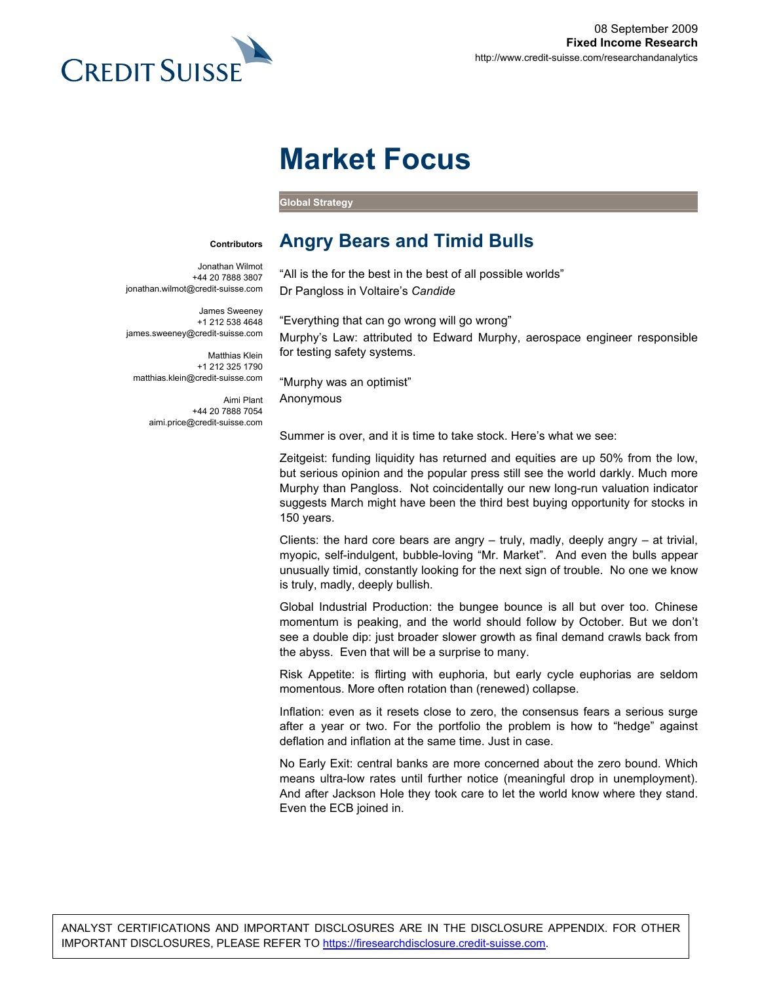

# **Market Focus**

**Global Strategy** 

#### **Contributors**

Jonathan Wilmot +44 20 7888 3807 jonathan.wilmot@credit-suisse.com

James Sweeney +1 212 538 4648 james.sweeney@credit-suisse.com

Matthias Klein +1 212 325 1790 matthias.klein@credit-suisse.com

> Aimi Plant +44 20 7888 7054 aimi.price@credit-suisse.com

"All is the for the best in the best of all possible worlds"

**Angry Bears and Timid Bulls** 

Dr Pangloss in Voltaire's *Candide*

"Everything that can go wrong will go wrong" Murphy's Law: attributed to Edward Murphy, aerospace engineer responsible for testing safety systems.

"Murphy was an optimist" Anonymous

Summer is over, and it is time to take stock. Here's what we see:

Zeitgeist: funding liquidity has returned and equities are up 50% from the low, but serious opinion and the popular press still see the world darkly. Much more Murphy than Pangloss. Not coincidentally our new long-run valuation indicator suggests March might have been the third best buying opportunity for stocks in 150 years.

Clients: the hard core bears are angry  $-$  truly, madly, deeply angry  $-$  at trivial, myopic, self-indulgent, bubble-loving "Mr. Market". And even the bulls appear unusually timid, constantly looking for the next sign of trouble. No one we know is truly, madly, deeply bullish.

Global Industrial Production: the bungee bounce is all but over too. Chinese momentum is peaking, and the world should follow by October. But we don't see a double dip: just broader slower growth as final demand crawls back from the abyss. Even that will be a surprise to many.

Risk Appetite: is flirting with euphoria, but early cycle euphorias are seldom momentous. More often rotation than (renewed) collapse.

Inflation: even as it resets close to zero, the consensus fears a serious surge after a year or two. For the portfolio the problem is how to "hedge" against deflation and inflation at the same time. Just in case.

No Early Exit: central banks are more concerned about the zero bound. Which means ultra-low rates until further notice (meaningful drop in unemployment). And after Jackson Hole they took care to let the world know where they stand. Even the ECB joined in.

ANALYST CERTIFICATIONS AND IMPORTANT DISCLOSURES ARE IN THE DISCLOSURE APPENDIX. FOR OTHER IMPORTANT DISCLOSURES, PLEASE REFER TO https://firesearchdisclosure.credit-suisse.com.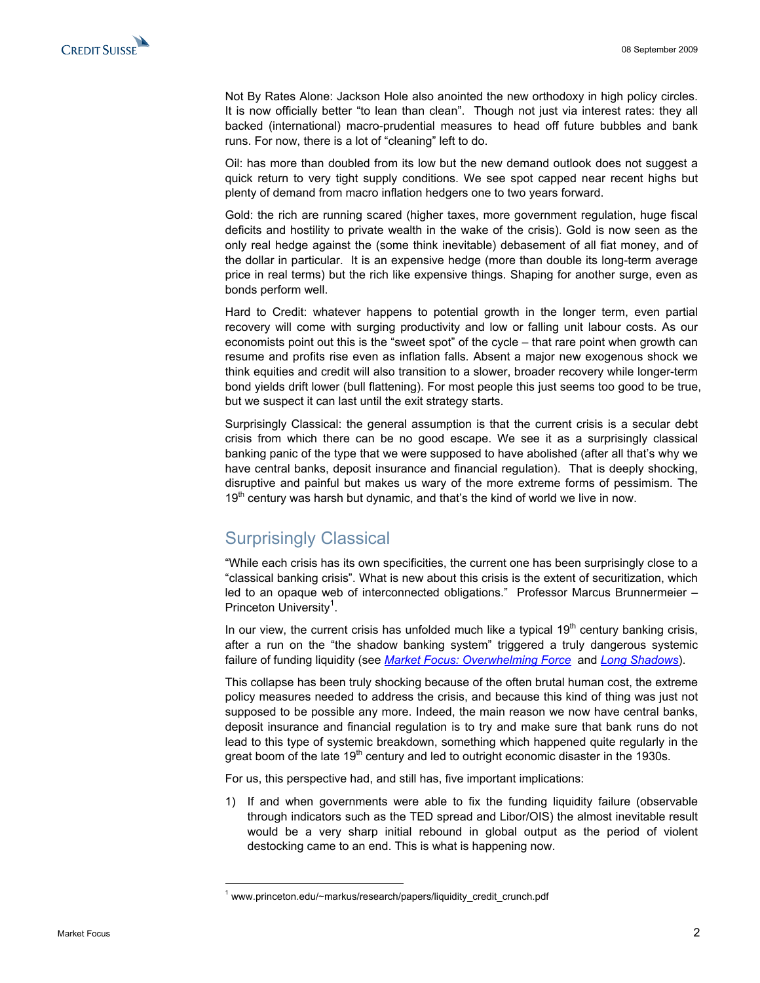Not By Rates Alone: Jackson Hole also anointed the new orthodoxy in high policy circles. It is now officially better "to lean than clean". Though not just via interest rates: they all backed (international) macro-prudential measures to head off future bubbles and bank runs. For now, there is a lot of "cleaning" left to do.

Oil: has more than doubled from its low but the new demand outlook does not suggest a quick return to very tight supply conditions. We see spot capped near recent highs but plenty of demand from macro inflation hedgers one to two years forward.

Gold: the rich are running scared (higher taxes, more government regulation, huge fiscal deficits and hostility to private wealth in the wake of the crisis). Gold is now seen as the only real hedge against the (some think inevitable) debasement of all fiat money, and of the dollar in particular. It is an expensive hedge (more than double its long-term average price in real terms) but the rich like expensive things. Shaping for another surge, even as bonds perform well.

Hard to Credit: whatever happens to potential growth in the longer term, even partial recovery will come with surging productivity and low or falling unit labour costs. As our economists point out this is the "sweet spot" of the cycle – that rare point when growth can resume and profits rise even as inflation falls. Absent a major new exogenous shock we think equities and credit will also transition to a slower, broader recovery while longer-term bond yields drift lower (bull flattening). For most people this just seems too good to be true, but we suspect it can last until the exit strategy starts.

Surprisingly Classical: the general assumption is that the current crisis is a secular debt crisis from which there can be no good escape. We see it as a surprisingly classical banking panic of the type that we were supposed to have abolished (after all that's why we have central banks, deposit insurance and financial regulation). That is deeply shocking, disruptive and painful but makes us wary of the more extreme forms of pessimism. The  $19<sup>th</sup>$  century was harsh but dynamic, and that's the kind of world we live in now.

# Surprisingly Classical

 $\overline{a}$ 

"While each crisis has its own specificities, the current one has been surprisingly close to a "classical banking crisis". What is new about this crisis is the extent of securitization, which led to an opaque web of interconnected obligations." Professor Marcus Brunnermeier – Princeton University<sup>1</sup>.

In our view, the current crisis has unfolded much like a typical  $19<sup>th</sup>$  century banking crisis, after a run on the "the shadow banking system" triggered a truly dangerous systemic failure of funding liquidity (see *[Market Focus: Overwhelming Force](http://research-and-analytics.csfb.com/doc?language=ENG&format=PDF&document_section=1&document_id=813778971)* and *[Long Shadows](http://research-and-analytics.csfb.com/doc?language=ENG&format=PDF&document_section=1&document_id=802668390)*).

This collapse has been truly shocking because of the often brutal human cost, the extreme policy measures needed to address the crisis, and because this kind of thing was just not supposed to be possible any more. Indeed, the main reason we now have central banks, deposit insurance and financial regulation is to try and make sure that bank runs do not lead to this type of systemic breakdown, something which happened quite regularly in the great boom of the late  $19<sup>th</sup>$  century and led to outright economic disaster in the 1930s.

For us, this perspective had, and still has, five important implications:

1) If and when governments were able to fix the funding liquidity failure (observable through indicators such as the TED spread and Libor/OIS) the almost inevitable result would be a very sharp initial rebound in global output as the period of violent destocking came to an end. This is what is happening now.

<sup>1</sup> www.princeton.edu/~markus/research/papers/liquidity\_credit\_crunch.pdf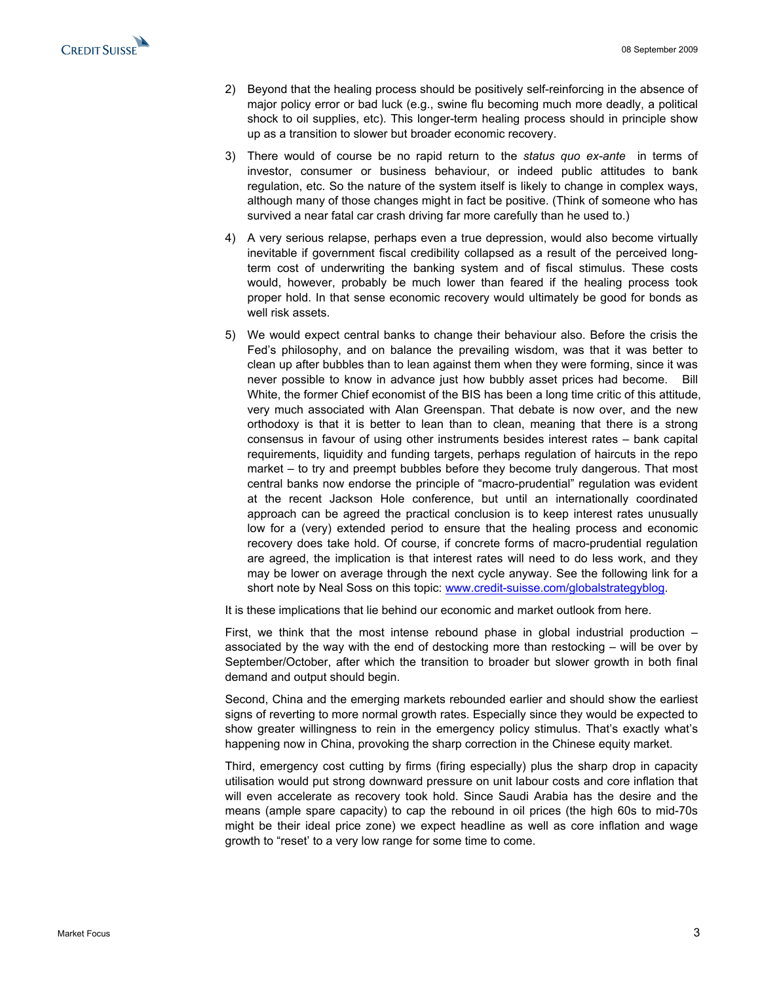

- 2) Beyond that the healing process should be positively self-reinforcing in the absence of major policy error or bad luck (e.g., swine flu becoming much more deadly, a political shock to oil supplies, etc). This longer-term healing process should in principle show up as a transition to slower but broader economic recovery.
- 3) There would of course be no rapid return to the *status quo ex-ante* in terms of investor, consumer or business behaviour, or indeed public attitudes to bank regulation, etc. So the nature of the system itself is likely to change in complex ways, although many of those changes might in fact be positive. (Think of someone who has survived a near fatal car crash driving far more carefully than he used to.)
- 4) A very serious relapse, perhaps even a true depression, would also become virtually inevitable if government fiscal credibility collapsed as a result of the perceived longterm cost of underwriting the banking system and of fiscal stimulus. These costs would, however, probably be much lower than feared if the healing process took proper hold. In that sense economic recovery would ultimately be good for bonds as well risk assets.
- 5) We would expect central banks to change their behaviour also. Before the crisis the Fed's philosophy, and on balance the prevailing wisdom, was that it was better to clean up after bubbles than to lean against them when they were forming, since it was never possible to know in advance just how bubbly asset prices had become. Bill White, the former Chief economist of the BIS has been a long time critic of this attitude, very much associated with Alan Greenspan. That debate is now over, and the new orthodoxy is that it is better to lean than to clean, meaning that there is a strong consensus in favour of using other instruments besides interest rates – bank capital requirements, liquidity and funding targets, perhaps regulation of haircuts in the repo market – to try and preempt bubbles before they become truly dangerous. That most central banks now endorse the principle of "macro-prudential" regulation was evident at the recent Jackson Hole conference, but until an internationally coordinated approach can be agreed the practical conclusion is to keep interest rates unusually low for a (very) extended period to ensure that the healing process and economic recovery does take hold. Of course, if concrete forms of macro-prudential regulation are agreed, the implication is that interest rates will need to do less work, and they may be lower on average through the next cycle anyway. See the following link for a short note by Neal Soss on this topic: www.credit-suisse.com/globalstrategyblog.

It is these implications that lie behind our economic and market outlook from here.

First, we think that the most intense rebound phase in global industrial production  $$ associated by the way with the end of destocking more than restocking – will be over by September/October, after which the transition to broader but slower growth in both final demand and output should begin.

Second, China and the emerging markets rebounded earlier and should show the earliest signs of reverting to more normal growth rates. Especially since they would be expected to show greater willingness to rein in the emergency policy stimulus. That's exactly what's happening now in China, provoking the sharp correction in the Chinese equity market.

Third, emergency cost cutting by firms (firing especially) plus the sharp drop in capacity utilisation would put strong downward pressure on unit labour costs and core inflation that will even accelerate as recovery took hold. Since Saudi Arabia has the desire and the means (ample spare capacity) to cap the rebound in oil prices (the high 60s to mid-70s might be their ideal price zone) we expect headline as well as core inflation and wage growth to "reset' to a very low range for some time to come.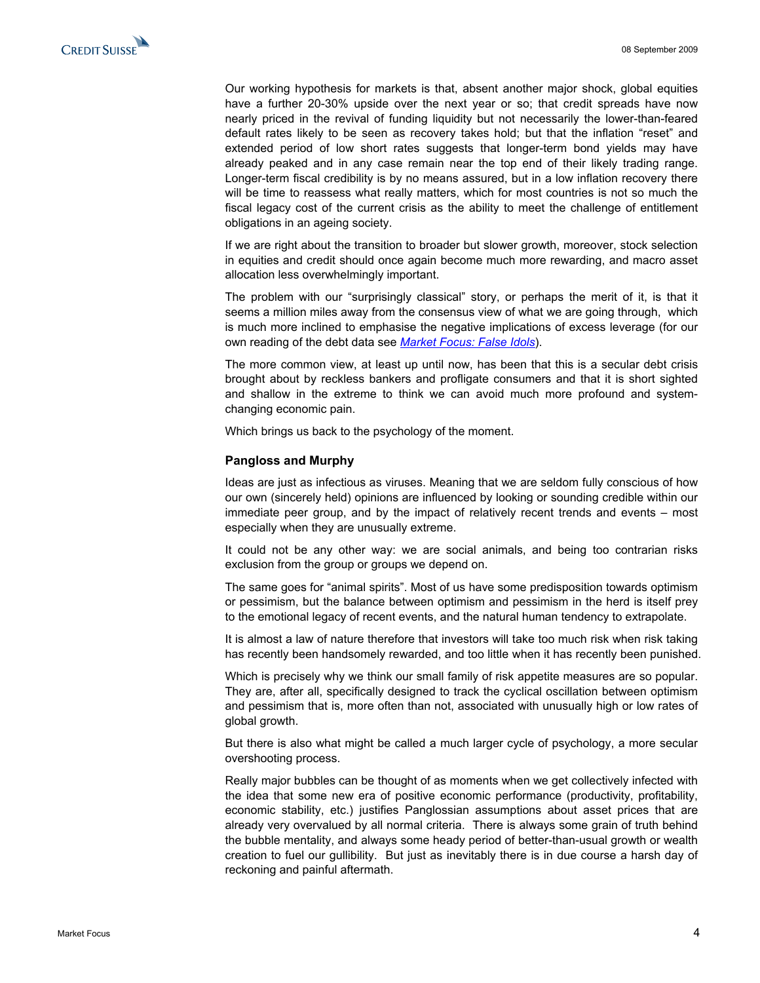Our working hypothesis for markets is that, absent another major shock, global equities have a further 20-30% upside over the next year or so; that credit spreads have now nearly priced in the revival of funding liquidity but not necessarily the lower-than-feared default rates likely to be seen as recovery takes hold; but that the inflation "reset" and extended period of low short rates suggests that longer-term bond yields may have already peaked and in any case remain near the top end of their likely trading range. Longer-term fiscal credibility is by no means assured, but in a low inflation recovery there will be time to reassess what really matters, which for most countries is not so much the fiscal legacy cost of the current crisis as the ability to meet the challenge of entitlement obligations in an ageing society.

If we are right about the transition to broader but slower growth, moreover, stock selection in equities and credit should once again become much more rewarding, and macro asset allocation less overwhelmingly important.

The problem with our "surprisingly classical" story, or perhaps the merit of it, is that it seems a million miles away from the consensus view of what we are going through, which is much more inclined to emphasise the negative implications of excess leverage (for our own reading of the debt data see *[Market Focus: False Idols](http://research-and-analytics.csfb.com/doc?language=ENG&format=PDF&document_section=1&document_id=816789021)*).

The more common view, at least up until now, has been that this is a secular debt crisis brought about by reckless bankers and profligate consumers and that it is short sighted and shallow in the extreme to think we can avoid much more profound and systemchanging economic pain.

Which brings us back to the psychology of the moment.

#### **Pangloss and Murphy**

Ideas are just as infectious as viruses. Meaning that we are seldom fully conscious of how our own (sincerely held) opinions are influenced by looking or sounding credible within our immediate peer group, and by the impact of relatively recent trends and events – most especially when they are unusually extreme.

It could not be any other way: we are social animals, and being too contrarian risks exclusion from the group or groups we depend on.

The same goes for "animal spirits". Most of us have some predisposition towards optimism or pessimism, but the balance between optimism and pessimism in the herd is itself prey to the emotional legacy of recent events, and the natural human tendency to extrapolate.

It is almost a law of nature therefore that investors will take too much risk when risk taking has recently been handsomely rewarded, and too little when it has recently been punished.

Which is precisely why we think our small family of risk appetite measures are so popular. They are, after all, specifically designed to track the cyclical oscillation between optimism and pessimism that is, more often than not, associated with unusually high or low rates of global growth.

But there is also what might be called a much larger cycle of psychology, a more secular overshooting process.

Really major bubbles can be thought of as moments when we get collectively infected with the idea that some new era of positive economic performance (productivity, profitability, economic stability, etc.) justifies Panglossian assumptions about asset prices that are already very overvalued by all normal criteria. There is always some grain of truth behind the bubble mentality, and always some heady period of better-than-usual growth or wealth creation to fuel our gullibility. But just as inevitably there is in due course a harsh day of reckoning and painful aftermath.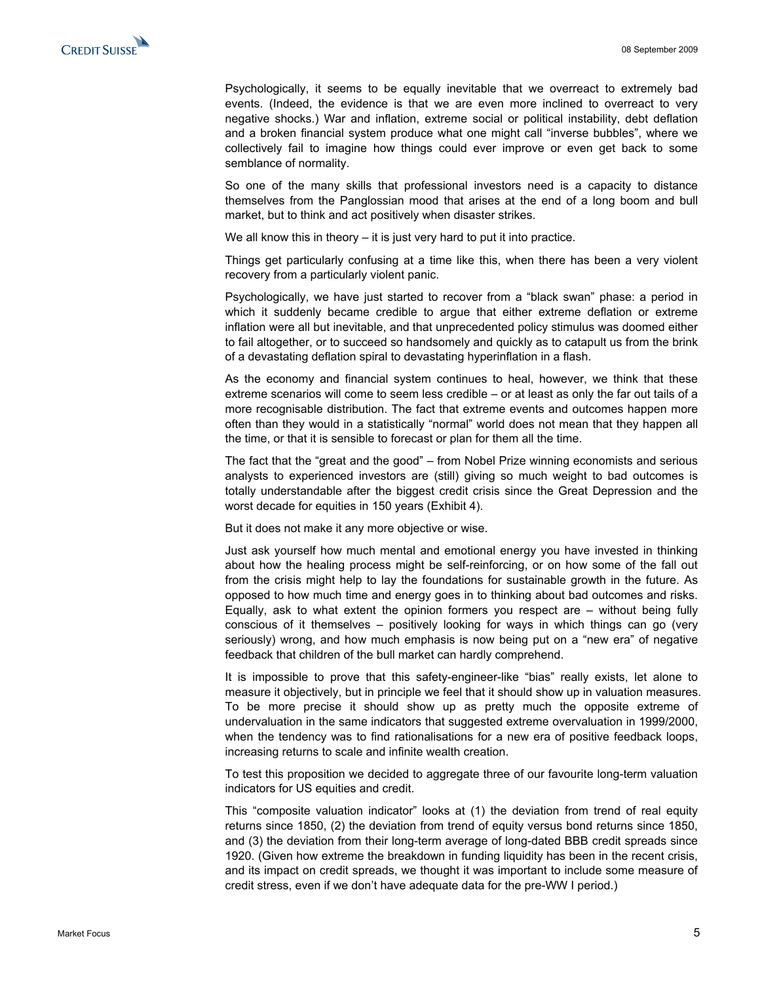Psychologically, it seems to be equally inevitable that we overreact to extremely bad events. (Indeed, the evidence is that we are even more inclined to overreact to very negative shocks.) War and inflation, extreme social or political instability, debt deflation and a broken financial system produce what one might call "inverse bubbles", where we collectively fail to imagine how things could ever improve or even get back to some semblance of normality.

So one of the many skills that professional investors need is a capacity to distance themselves from the Panglossian mood that arises at the end of a long boom and bull market, but to think and act positively when disaster strikes.

We all know this in theory – it is just very hard to put it into practice.

Things get particularly confusing at a time like this, when there has been a very violent recovery from a particularly violent panic.

Psychologically, we have just started to recover from a "black swan" phase: a period in which it suddenly became credible to argue that either extreme deflation or extreme inflation were all but inevitable, and that unprecedented policy stimulus was doomed either to fail altogether, or to succeed so handsomely and quickly as to catapult us from the brink of a devastating deflation spiral to devastating hyperinflation in a flash.

As the economy and financial system continues to heal, however, we think that these extreme scenarios will come to seem less credible – or at least as only the far out tails of a more recognisable distribution. The fact that extreme events and outcomes happen more often than they would in a statistically "normal" world does not mean that they happen all the time, or that it is sensible to forecast or plan for them all the time.

The fact that the "great and the good" – from Nobel Prize winning economists and serious analysts to experienced investors are (still) giving so much weight to bad outcomes is totally understandable after the biggest credit crisis since the Great Depression and the worst decade for equities in 150 years (Exhibit 4).

But it does not make it any more objective or wise.

Just ask yourself how much mental and emotional energy you have invested in thinking about how the healing process might be self-reinforcing, or on how some of the fall out from the crisis might help to lay the foundations for sustainable growth in the future. As opposed to how much time and energy goes in to thinking about bad outcomes and risks. Equally, ask to what extent the opinion formers you respect are – without being fully conscious of it themselves – positively looking for ways in which things can go (very seriously) wrong, and how much emphasis is now being put on a "new era" of negative feedback that children of the bull market can hardly comprehend.

It is impossible to prove that this safety-engineer-like "bias" really exists, let alone to measure it objectively, but in principle we feel that it should show up in valuation measures. To be more precise it should show up as pretty much the opposite extreme of undervaluation in the same indicators that suggested extreme overvaluation in 1999/2000, when the tendency was to find rationalisations for a new era of positive feedback loops, increasing returns to scale and infinite wealth creation.

To test this proposition we decided to aggregate three of our favourite long-term valuation indicators for US equities and credit.

This "composite valuation indicator" looks at (1) the deviation from trend of real equity returns since 1850, (2) the deviation from trend of equity versus bond returns since 1850, and (3) the deviation from their long-term average of long-dated BBB credit spreads since 1920. (Given how extreme the breakdown in funding liquidity has been in the recent crisis, and its impact on credit spreads, we thought it was important to include some measure of credit stress, even if we don't have adequate data for the pre-WW I period.)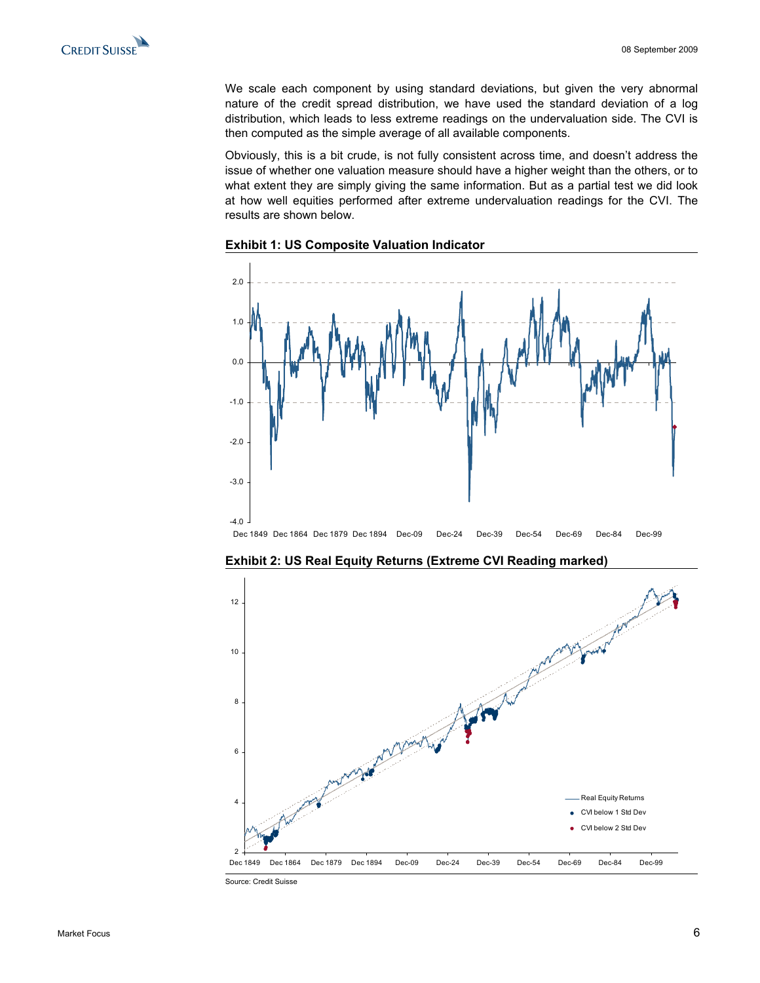We scale each component by using standard deviations, but given the very abnormal nature of the credit spread distribution, we have used the standard deviation of a log distribution, which leads to less extreme readings on the undervaluation side. The CVI is then computed as the simple average of all available components.

Obviously, this is a bit crude, is not fully consistent across time, and doesn't address the issue of whether one valuation measure should have a higher weight than the others, or to what extent they are simply giving the same information. But as a partial test we did look at how well equities performed after extreme undervaluation readings for the CVI. The results are shown below.





**Exhibit 2: US Real Equity Returns (Extreme CVI Reading marked)** 



Source: Credit Suisse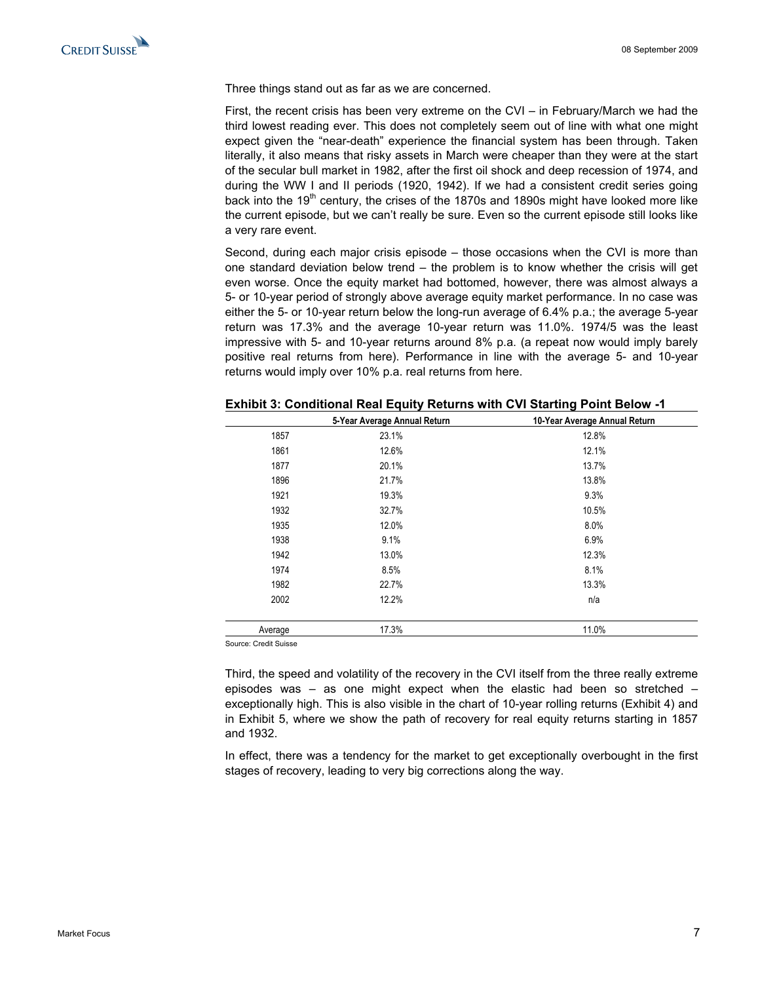Three things stand out as far as we are concerned.

First, the recent crisis has been very extreme on the CVI – in February/March we had the third lowest reading ever. This does not completely seem out of line with what one might expect given the "near-death" experience the financial system has been through. Taken literally, it also means that risky assets in March were cheaper than they were at the start of the secular bull market in 1982, after the first oil shock and deep recession of 1974, and during the WW I and II periods (1920, 1942). If we had a consistent credit series going back into the  $19<sup>th</sup>$  century, the crises of the 1870s and 1890s might have looked more like the current episode, but we can't really be sure. Even so the current episode still looks like a very rare event.

Second, during each major crisis episode – those occasions when the CVI is more than one standard deviation below trend – the problem is to know whether the crisis will get even worse. Once the equity market had bottomed, however, there was almost always a 5- or 10-year period of strongly above average equity market performance. In no case was either the 5- or 10-year return below the long-run average of 6.4% p.a.; the average 5-year return was 17.3% and the average 10-year return was 11.0%. 1974/5 was the least impressive with 5- and 10-year returns around 8% p.a. (a repeat now would imply barely positive real returns from here). Performance in line with the average 5- and 10-year returns would imply over 10% p.a. real returns from here.

|                       | 5-Year Average Annual Return | 10-Year Average Annual Return |
|-----------------------|------------------------------|-------------------------------|
| 1857                  | 23.1%                        | 12.8%                         |
| 1861                  | 12.6%                        | 12.1%                         |
| 1877                  | 20.1%                        | 13.7%                         |
| 1896                  | 21.7%                        | 13.8%                         |
| 1921                  | 19.3%                        | 9.3%                          |
| 1932                  | 32.7%                        | 10.5%                         |
| 1935                  | 12.0%                        | 8.0%                          |
| 1938                  | 9.1%                         | 6.9%                          |
| 1942                  | 13.0%                        | 12.3%                         |
| 1974                  | 8.5%                         | 8.1%                          |
| 1982                  | 22.7%                        | 13.3%                         |
| 2002                  | 12.2%                        | n/a                           |
| Average               | 17.3%                        | 11.0%                         |
| Source: Credit Suisse |                              |                               |

**Exhibit 3: Conditional Real Equity Returns with CVI Starting Point Below -1** 

Third, the speed and volatility of the recovery in the CVI itself from the three really extreme episodes was – as one might expect when the elastic had been so stretched – exceptionally high. This is also visible in the chart of 10-year rolling returns (Exhibit 4) and in Exhibit 5, where we show the path of recovery for real equity returns starting in 1857 and 1932.

In effect, there was a tendency for the market to get exceptionally overbought in the first stages of recovery, leading to very big corrections along the way.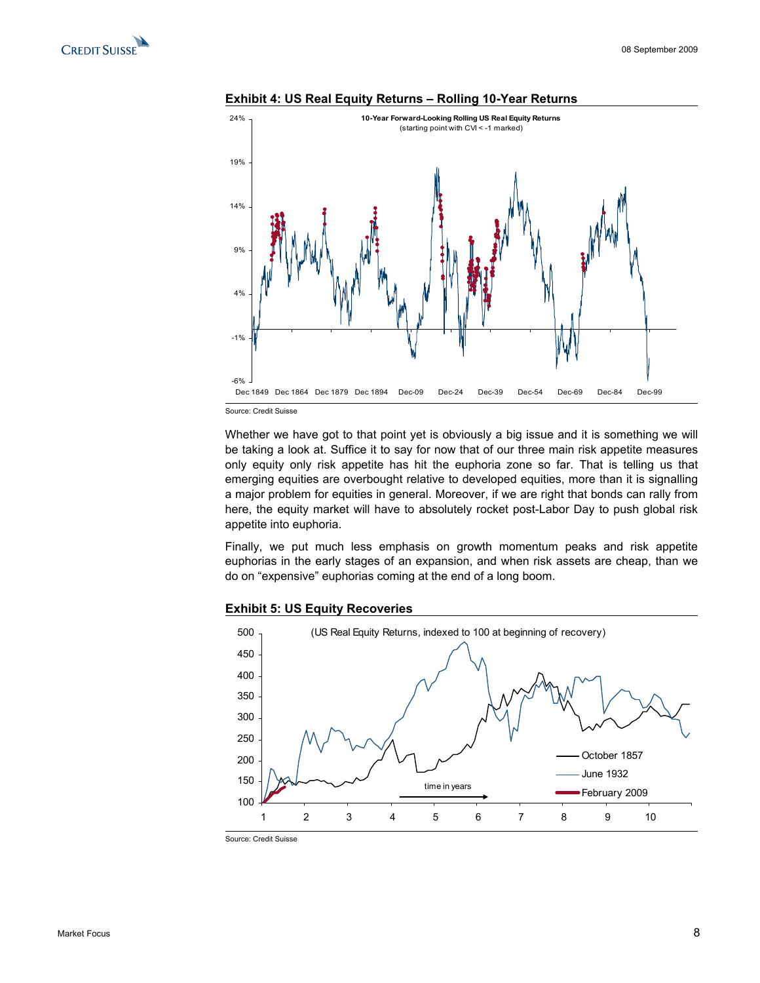





Source: Credit Suisse

Whether we have got to that point yet is obviously a big issue and it is something we will be taking a look at. Suffice it to say for now that of our three main risk appetite measures only equity only risk appetite has hit the euphoria zone so far. That is telling us that emerging equities are overbought relative to developed equities, more than it is signalling a major problem for equities in general. Moreover, if we are right that bonds can rally from here, the equity market will have to absolutely rocket post-Labor Day to push global risk appetite into euphoria.

Finally, we put much less emphasis on growth momentum peaks and risk appetite euphorias in the early stages of an expansion, and when risk assets are cheap, than we do on "expensive" euphorias coming at the end of a long boom.





Source: Credit Suisse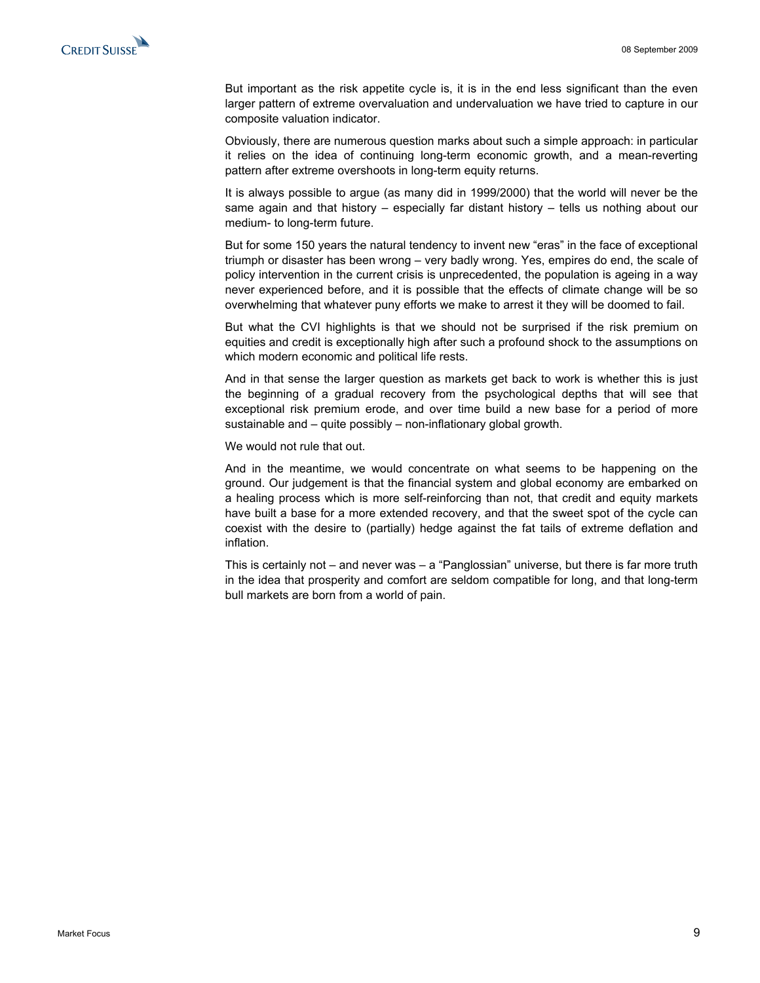But important as the risk appetite cycle is, it is in the end less significant than the even larger pattern of extreme overvaluation and undervaluation we have tried to capture in our composite valuation indicator.

Obviously, there are numerous question marks about such a simple approach: in particular it relies on the idea of continuing long-term economic growth, and a mean-reverting pattern after extreme overshoots in long-term equity returns.

It is always possible to argue (as many did in 1999/2000) that the world will never be the same again and that history – especially far distant history – tells us nothing about our medium- to long-term future.

But for some 150 years the natural tendency to invent new "eras" in the face of exceptional triumph or disaster has been wrong – very badly wrong. Yes, empires do end, the scale of policy intervention in the current crisis is unprecedented, the population is ageing in a way never experienced before, and it is possible that the effects of climate change will be so overwhelming that whatever puny efforts we make to arrest it they will be doomed to fail.

But what the CVI highlights is that we should not be surprised if the risk premium on equities and credit is exceptionally high after such a profound shock to the assumptions on which modern economic and political life rests.

And in that sense the larger question as markets get back to work is whether this is just the beginning of a gradual recovery from the psychological depths that will see that exceptional risk premium erode, and over time build a new base for a period of more sustainable and – quite possibly – non-inflationary global growth.

We would not rule that out.

And in the meantime, we would concentrate on what seems to be happening on the ground. Our judgement is that the financial system and global economy are embarked on a healing process which is more self-reinforcing than not, that credit and equity markets have built a base for a more extended recovery, and that the sweet spot of the cycle can coexist with the desire to (partially) hedge against the fat tails of extreme deflation and inflation.

This is certainly not – and never was – a "Panglossian" universe, but there is far more truth in the idea that prosperity and comfort are seldom compatible for long, and that long-term bull markets are born from a world of pain.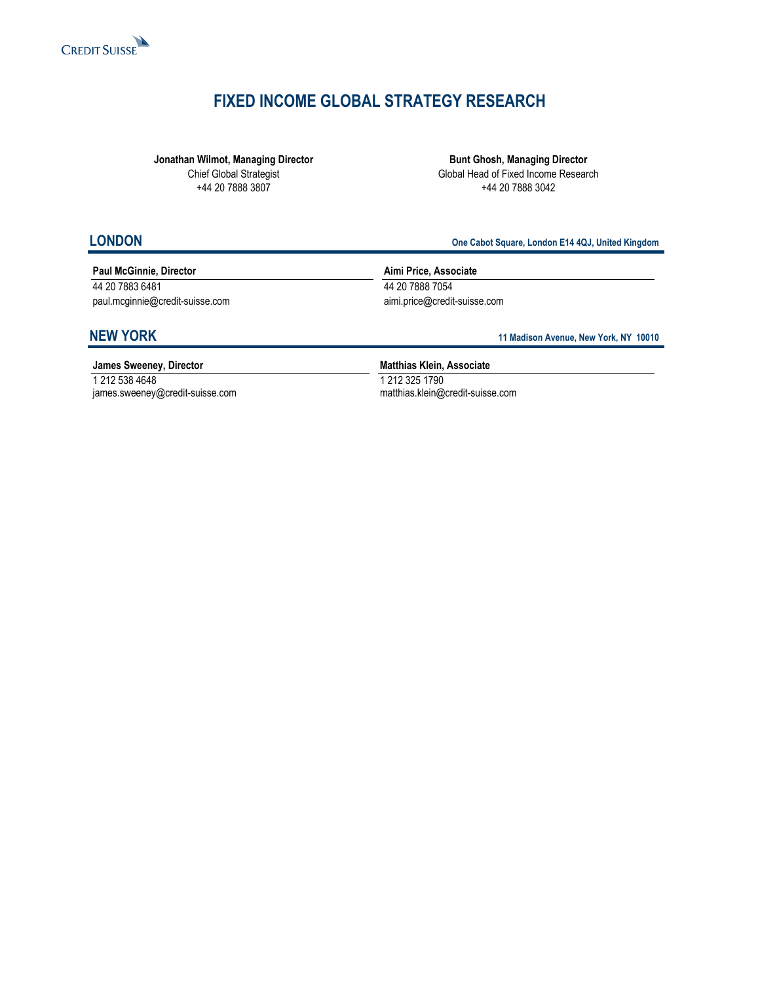

## **FIXED INCOME GLOBAL STRATEGY RESEARCH**

**Jonathan Wilmot, Managing Director**  Chief Global Strategist +44 20 7888 3807

**Bunt Ghosh, Managing Director**  Global Head of Fixed Income Research +44 20 7888 3042

**LONDON One Cabot Square, London E14 4QJ, United Kingdom**

### **Paul McGinnie, Director**

44 20 7883 6481 paul.mcginnie@credit-suisse.com **Aimi Price, Associate**  44 20 7888 7054 aimi.price@credit-suisse.com

**NEW YORK** 11 Madison Avenue, New York, NY 10010

**James Sweeney, Director**  1 212 538 4648 james.sweeney@credit-suisse.com **Matthias Klein, Associate**  1 212 325 1790 matthias.klein@credit-suisse.com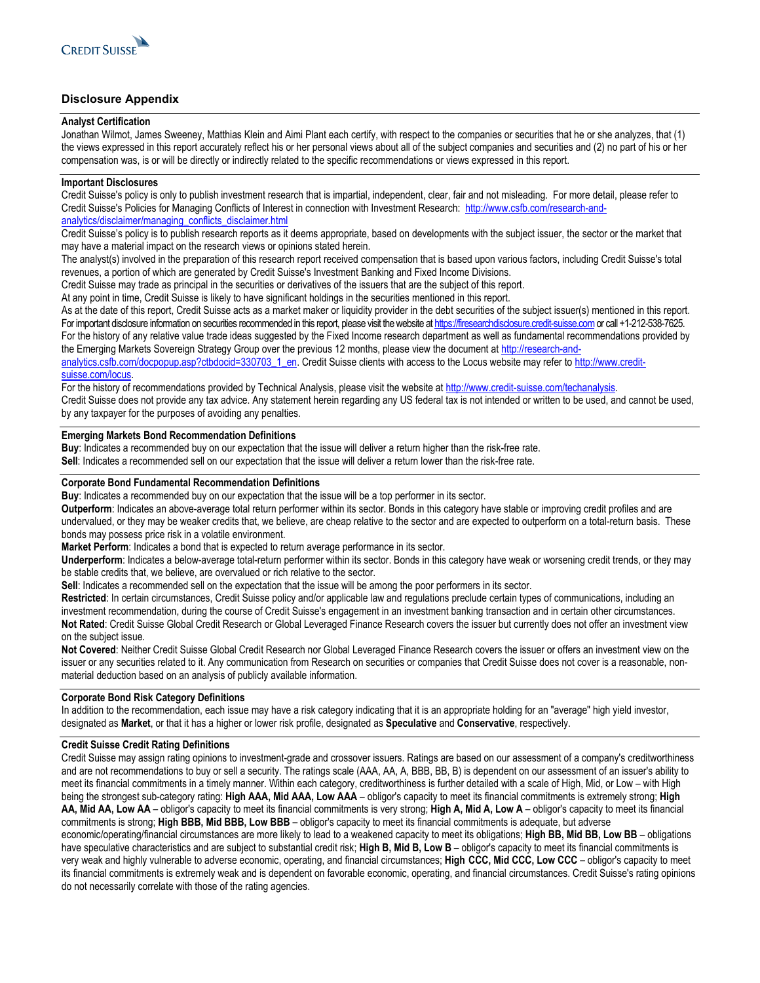

### **Disclosure Appendix**

#### **Analyst Certification**

Jonathan Wilmot, James Sweeney, Matthias Klein and Aimi Plant each certify, with respect to the companies or securities that he or she analyzes, that (1) the views expressed in this report accurately reflect his or her personal views about all of the subject companies and securities and (2) no part of his or her compensation was, is or will be directly or indirectly related to the specific recommendations or views expressed in this report.

#### **Important Disclosures**

Credit Suisse's policy is only to publish investment research that is impartial, independent, clear, fair and not misleading. For more detail, please refer to Credit Suisse's Policies for Managing Conflicts of Interest in connection with Investment Research: http://www.csfb.com/research-andanalytics/disclaimer/managing\_conflicts\_disclaimer.html

Credit Suisse's policy is to publish research reports as it deems appropriate, based on developments with the subject issuer, the sector or the market that may have a material impact on the research views or opinions stated herein.

The analyst(s) involved in the preparation of this research report received compensation that is based upon various factors, including Credit Suisse's total revenues, a portion of which are generated by Credit Suisse's Investment Banking and Fixed Income Divisions.

Credit Suisse may trade as principal in the securities or derivatives of the issuers that are the subject of this report.

At any point in time, Credit Suisse is likely to have significant holdings in the securities mentioned in this report.

As at the date of this report, Credit Suisse acts as a market maker or liquidity provider in the debt securities of the subject issuer(s) mentioned in this report. For important disclosure information on securities recommended in this report, please visit the website at https://firesearchdisclosure.credit-suisse.com or call +1-212-538-7625. For the history of any relative value trade ideas suggested by the Fixed Income research department as well as fundamental recommendations provided by the Emerging Markets Sovereign Strategy Group over the previous 12 months, please view the document at http://research-andanalytics.csfb.com/docpopup.asp?ctbdocid=330703\_1\_en. Credit Suisse clients with access to the Locus website may refer to http://www.credit-

#### suisse.com/locus.

For the history of recommendations provided by Technical Analysis, please visit the website at http://www.credit-suisse.com/techanalysis. Credit Suisse does not provide any tax advice. Any statement herein regarding any US federal tax is not intended or written to be used, and cannot be used, by any taxpayer for the purposes of avoiding any penalties.

#### **Emerging Markets Bond Recommendation Definitions**

**Buy**: Indicates a recommended buy on our expectation that the issue will deliver a return higher than the risk-free rate.

**Sell**: Indicates a recommended sell on our expectation that the issue will deliver a return lower than the risk-free rate.

#### **Corporate Bond Fundamental Recommendation Definitions**

**Buy**: Indicates a recommended buy on our expectation that the issue will be a top performer in its sector.

**Outperform**: Indicates an above-average total return performer within its sector. Bonds in this category have stable or improving credit profiles and are undervalued, or they may be weaker credits that, we believe, are cheap relative to the sector and are expected to outperform on a total-return basis. These bonds may possess price risk in a volatile environment.

**Market Perform**: Indicates a bond that is expected to return average performance in its sector.

**Underperform**: Indicates a below-average total-return performer within its sector. Bonds in this category have weak or worsening credit trends, or they may be stable credits that, we believe, are overvalued or rich relative to the sector.

**Sell**: Indicates a recommended sell on the expectation that the issue will be among the poor performers in its sector.

**Restricted**: In certain circumstances, Credit Suisse policy and/or applicable law and regulations preclude certain types of communications, including an investment recommendation, during the course of Credit Suisse's engagement in an investment banking transaction and in certain other circumstances. **Not Rated**: Credit Suisse Global Credit Research or Global Leveraged Finance Research covers the issuer but currently does not offer an investment view on the subject issue.

**Not Covered**: Neither Credit Suisse Global Credit Research nor Global Leveraged Finance Research covers the issuer or offers an investment view on the issuer or any securities related to it. Any communication from Research on securities or companies that Credit Suisse does not cover is a reasonable, nonmaterial deduction based on an analysis of publicly available information.

#### **Corporate Bond Risk Category Definitions**

In addition to the recommendation, each issue may have a risk category indicating that it is an appropriate holding for an "average" high yield investor, designated as **Market**, or that it has a higher or lower risk profile, designated as **Speculative** and **Conservative**, respectively.

#### **Credit Suisse Credit Rating Definitions**

Credit Suisse may assign rating opinions to investment-grade and crossover issuers. Ratings are based on our assessment of a company's creditworthiness and are not recommendations to buy or sell a security. The ratings scale (AAA, AA, A, BBB, BB, B) is dependent on our assessment of an issuer's ability to meet its financial commitments in a timely manner. Within each category, creditworthiness is further detailed with a scale of High, Mid, or Low – with High being the strongest sub-category rating: **High AAA, Mid AAA, Low AAA** – obligor's capacity to meet its financial commitments is extremely strong; **High AA, Mid AA, Low AA** – obligor's capacity to meet its financial commitments is very strong; **High A, Mid A, Low A** – obligor's capacity to meet its financial commitments is strong; **High BBB, Mid BBB, Low BBB** – obligor's capacity to meet its financial commitments is adequate, but adverse economic/operating/financial circumstances are more likely to lead to a weakened capacity to meet its obligations; **High BB, Mid BB, Low BB** – obligations have speculative characteristics and are subject to substantial credit risk; High B, Mid B, Low B - obligor's capacity to meet its financial commitments is

very weak and highly vulnerable to adverse economic, operating, and financial circumstances; **High CCC, Mid CCC, Low CCC** – obligor's capacity to meet its financial commitments is extremely weak and is dependent on favorable economic, operating, and financial circumstances. Credit Suisse's rating opinions do not necessarily correlate with those of the rating agencies.